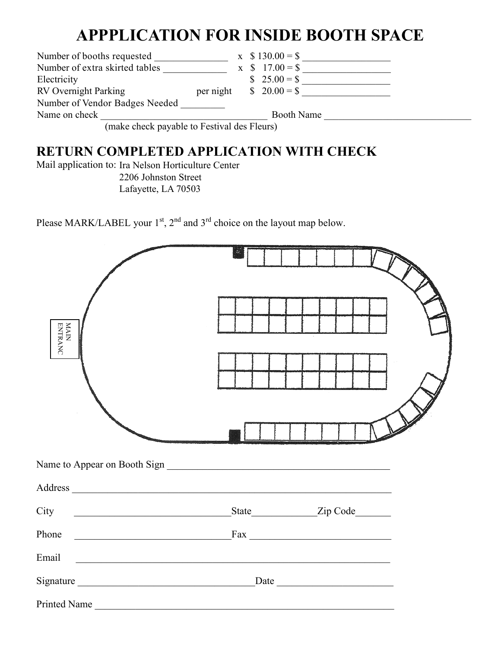## **APPPLICATION FOR INSIDE BOOTH SPACE**

| Number of booths requested     |           |  | $x \quad $130.00 = $$ |  |
|--------------------------------|-----------|--|-----------------------|--|
| Number of extra skirted tables |           |  | $x \quad $17.00 = $$  |  |
| Electricity                    |           |  | $$25.00 = $$          |  |
| <b>RV</b> Overnight Parking    | per night |  | $\$ 20.00 = $$        |  |
| Number of Vendor Badges Needed |           |  |                       |  |
| Name on check                  |           |  | <b>Booth Name</b>     |  |
| $11.777$ $11.77$               |           |  |                       |  |

(make check payable to Festival des Fleurs) (make check payable to Festival des Fleurs)

## **RETURN COMPLETED APPLICATION WITH CHECK**

Mail application to: Ira Nelson Horticulture Center 2206 Johnston Street Lafayette, LA 70503

Please MARK/LABEL your  $1<sup>st</sup>$ ,  $2<sup>nd</sup>$  and  $3<sup>rd</sup>$  choice on the layout map below.